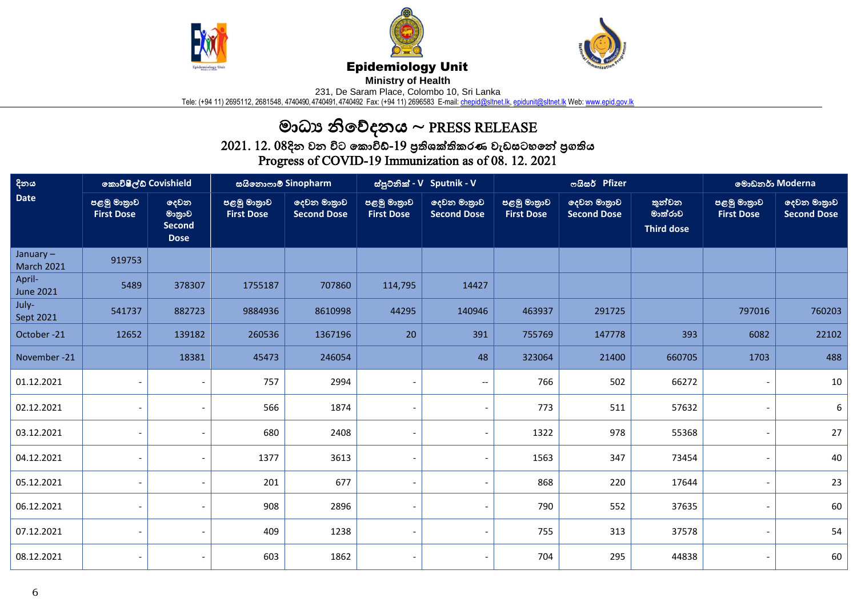





## Epidemiology Unit

**Ministry of Health** 

231, De Saram Place, Colombo 10, Sri Lanka

Tele: (+94 11) 2695112, 2681548, 4740490, 4740491, 4740492 Fax: (+94 11) 2696583 E-mail: <u>chepid@sltnet.lk, [epidunit@sltnet.lk](mailto:epidunit@sltnet.lk)</u> Web: <u>www.epid.gov.lk</u>

## මාධ්ය නිවේදනය ~ PRESS RELEASE

 $2021$ .  $12$ .  $08$ දින වන විට කොවිඩ්- $19$  පුතිශක්තිකරණ වැඩසටහනේ පුගතිය Progress of COVID-19 Immunization as of 08. 12. 2021

| දිනය                             | කොවිෂීල්ඩ් Covishield            |                                                | සයිනොෆාම් Sinopharm              |                                   | ස්පුටනික් - V Sputnik - V        |                                   |                                  | ოයිසර් Pfizer                     | මොඩනර් Moderna                         |                                  |                                   |
|----------------------------------|----------------------------------|------------------------------------------------|----------------------------------|-----------------------------------|----------------------------------|-----------------------------------|----------------------------------|-----------------------------------|----------------------------------------|----------------------------------|-----------------------------------|
| <b>Date</b>                      | පළමු මාතුාව<br><b>First Dose</b> | දෙවන<br>මාතුාව<br><b>Second</b><br><b>Dose</b> | පළමු මාතුාව<br><b>First Dose</b> | දෙවන මාතුාව<br><b>Second Dose</b> | පළමු මාතුාව<br><b>First Dose</b> | දෙවන මාතුාව<br><b>Second Dose</b> | පළමු මාතුාව<br><b>First Dose</b> | දෙවන මාතුාව<br><b>Second Dose</b> | තුන්වන<br>මාත්රාව<br><b>Third dose</b> | පළමු මාතුාව<br><b>First Dose</b> | දෙවන මාතුාව<br><b>Second Dose</b> |
| January $-$<br><b>March 2021</b> | 919753                           |                                                |                                  |                                   |                                  |                                   |                                  |                                   |                                        |                                  |                                   |
| April-<br><b>June 2021</b>       | 5489                             | 378307                                         | 1755187                          | 707860                            | 114,795                          | 14427                             |                                  |                                   |                                        |                                  |                                   |
| July-<br>Sept 2021               | 541737                           | 882723                                         | 9884936                          | 8610998                           | 44295                            | 140946                            | 463937                           | 291725                            |                                        | 797016                           | 760203                            |
| October-21                       | 12652                            | 139182                                         | 260536                           | 1367196                           | 20                               | 391                               | 755769                           | 147778                            | 393                                    | 6082                             | 22102                             |
| November-21                      |                                  | 18381                                          | 45473                            | 246054                            |                                  | 48                                | 323064                           | 21400                             | 660705                                 | 1703                             | 488                               |
| 01.12.2021                       |                                  |                                                | 757                              | 2994                              |                                  | $\overline{\phantom{a}}$          | 766                              | 502                               | 66272                                  |                                  | 10                                |
| 02.12.2021                       |                                  |                                                | 566                              | 1874                              |                                  |                                   | 773                              | 511                               | 57632                                  |                                  | 6                                 |
| 03.12.2021                       |                                  |                                                | 680                              | 2408                              |                                  |                                   | 1322                             | 978                               | 55368                                  |                                  | 27                                |
| 04.12.2021                       |                                  |                                                | 1377                             | 3613                              |                                  |                                   | 1563                             | 347                               | 73454                                  |                                  | 40                                |
| 05.12.2021                       |                                  |                                                | 201                              | 677                               |                                  | $\overline{\phantom{a}}$          | 868                              | 220                               | 17644                                  |                                  | 23                                |
| 06.12.2021                       |                                  |                                                | 908                              | 2896                              |                                  |                                   | 790                              | 552                               | 37635                                  |                                  | 60                                |
| 07.12.2021                       |                                  |                                                | 409                              | 1238                              |                                  |                                   | 755                              | 313                               | 37578                                  |                                  | 54                                |
| 08.12.2021                       |                                  |                                                | 603                              | 1862                              |                                  |                                   | 704                              | 295                               | 44838                                  |                                  | 60                                |